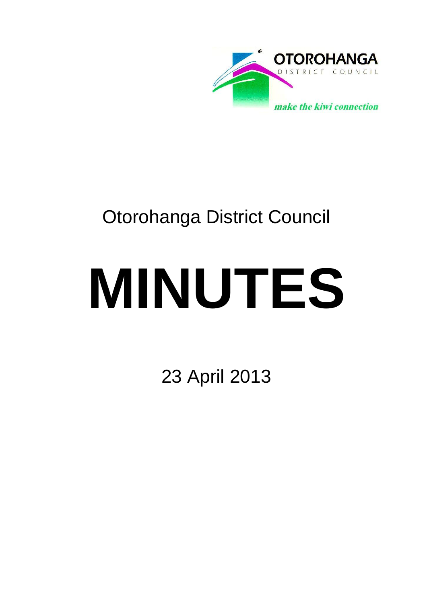

# Otorohanga District Council

# **MINUTES**

23 April 2013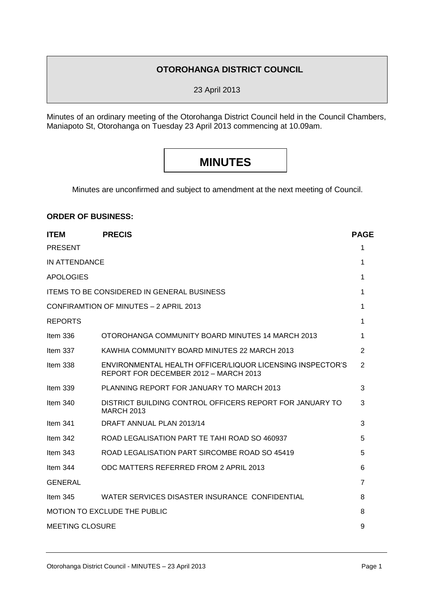### **OTOROHANGA DISTRICT COUNCIL**

23 April 2013

Minutes of an ordinary meeting of the Otorohanga District Council held in the Council Chambers, Maniapoto St, Otorohanga on Tuesday 23 April 2013 commencing at 10.09am.

# **MINUTES**

Minutes are unconfirmed and subject to amendment at the next meeting of Council.

#### **ORDER OF BUSINESS:**

| <b>ITEM</b>                         | <b>PRECIS</b>                                                                                      | <b>PAGE</b>    |  |
|-------------------------------------|----------------------------------------------------------------------------------------------------|----------------|--|
| <b>PRESENT</b>                      |                                                                                                    | 1              |  |
| IN ATTENDANCE                       |                                                                                                    | 1              |  |
| <b>APOLOGIES</b>                    |                                                                                                    | 1              |  |
|                                     | <b>ITEMS TO BE CONSIDERED IN GENERAL BUSINESS</b>                                                  | 1              |  |
|                                     | CONFIRAMTION OF MINUTES - 2 APRIL 2013                                                             | 1              |  |
| <b>REPORTS</b>                      |                                                                                                    | 1              |  |
| Item $336$                          | OTOROHANGA COMMUNITY BOARD MINUTES 14 MARCH 2013                                                   | 1              |  |
| Item $337$                          | KAWHIA COMMUNITY BOARD MINUTES 22 MARCH 2013                                                       | $\overline{2}$ |  |
| Item 338                            | ENVIRONMENTAL HEALTH OFFICER/LIQUOR LICENSING INSPECTOR'S<br>REPORT FOR DECEMBER 2012 - MARCH 2013 | 2              |  |
| Item $339$                          | PLANNING REPORT FOR JANUARY TO MARCH 2013                                                          | 3              |  |
| Item $340$                          | DISTRICT BUILDING CONTROL OFFICERS REPORT FOR JANUARY TO<br><b>MARCH 2013</b>                      | 3              |  |
| Item $341$                          | DRAFT ANNUAL PLAN 2013/14                                                                          | 3              |  |
| Item $342$                          | ROAD LEGALISATION PART TE TAHI ROAD SO 460937                                                      | 5              |  |
| Item $343$                          | ROAD LEGALISATION PART SIRCOMBE ROAD SO 45419                                                      | 5              |  |
| Item $344$                          | ODC MATTERS REFERRED FROM 2 APRIL 2013                                                             | 6              |  |
| <b>GENERAL</b>                      |                                                                                                    | 7              |  |
| Item $345$                          | WATER SERVICES DISASTER INSURANCE CONFIDENTIAL                                                     | 8              |  |
| <b>MOTION TO EXCLUDE THE PUBLIC</b> |                                                                                                    |                |  |
| <b>MEETING CLOSURE</b>              |                                                                                                    |                |  |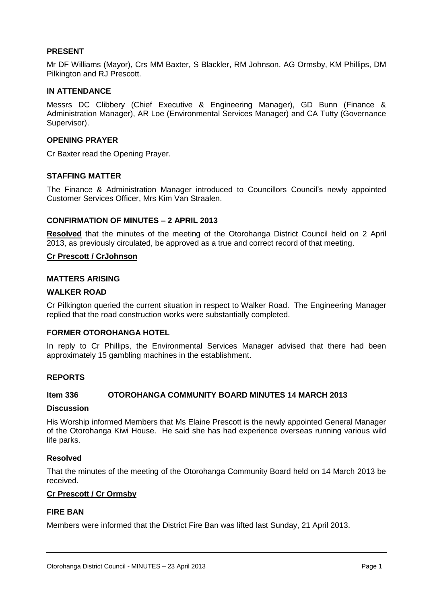#### **PRESENT**

Mr DF Williams (Mayor), Crs MM Baxter, S Blackler, RM Johnson, AG Ormsby, KM Phillips, DM Pilkington and RJ Prescott.

#### **IN ATTENDANCE**

Messrs DC Clibbery (Chief Executive & Engineering Manager), GD Bunn (Finance & Administration Manager), AR Loe (Environmental Services Manager) and CA Tutty (Governance Supervisor).

#### **OPENING PRAYER**

Cr Baxter read the Opening Prayer.

#### **STAFFING MATTER**

The Finance & Administration Manager introduced to Councillors Council's newly appointed Customer Services Officer, Mrs Kim Van Straalen.

#### **CONFIRMATION OF MINUTES – 2 APRIL 2013**

**Resolved** that the minutes of the meeting of the Otorohanga District Council held on 2 April 2013, as previously circulated, be approved as a true and correct record of that meeting.

#### **Cr Prescott / CrJohnson**

#### **MATTERS ARISING**

#### **WALKER ROAD**

Cr Pilkington queried the current situation in respect to Walker Road. The Engineering Manager replied that the road construction works were substantially completed.

#### **FORMER OTOROHANGA HOTEL**

In reply to Cr Phillips, the Environmental Services Manager advised that there had been approximately 15 gambling machines in the establishment.

#### **REPORTS**

#### **Item 336 OTOROHANGA COMMUNITY BOARD MINUTES 14 MARCH 2013**

#### **Discussion**

His Worship informed Members that Ms Elaine Prescott is the newly appointed General Manager of the Otorohanga Kiwi House. He said she has had experience overseas running various wild life parks.

#### **Resolved**

That the minutes of the meeting of the Otorohanga Community Board held on 14 March 2013 be received.

#### **Cr Prescott / Cr Ormsby**

#### **FIRE BAN**

Members were informed that the District Fire Ban was lifted last Sunday, 21 April 2013.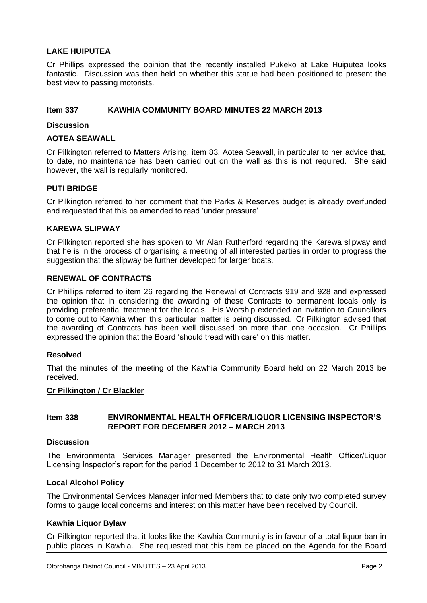#### **LAKE HUIPUTEA**

Cr Phillips expressed the opinion that the recently installed Pukeko at Lake Huiputea looks fantastic. Discussion was then held on whether this statue had been positioned to present the best view to passing motorists.

#### **Item 337 KAWHIA COMMUNITY BOARD MINUTES 22 MARCH 2013**

#### **Discussion**

#### **AOTEA SEAWALL**

Cr Pilkington referred to Matters Arising, item 83, Aotea Seawall, in particular to her advice that, to date, no maintenance has been carried out on the wall as this is not required. She said however, the wall is regularly monitored.

#### **PUTI BRIDGE**

Cr Pilkington referred to her comment that the Parks & Reserves budget is already overfunded and requested that this be amended to read 'under pressure'.

#### **KAREWA SLIPWAY**

Cr Pilkington reported she has spoken to Mr Alan Rutherford regarding the Karewa slipway and that he is in the process of organising a meeting of all interested parties in order to progress the suggestion that the slipway be further developed for larger boats.

#### **RENEWAL OF CONTRACTS**

Cr Phillips referred to item 26 regarding the Renewal of Contracts 919 and 928 and expressed the opinion that in considering the awarding of these Contracts to permanent locals only is providing preferential treatment for the locals. His Worship extended an invitation to Councillors to come out to Kawhia when this particular matter is being discussed. Cr Pilkington advised that the awarding of Contracts has been well discussed on more than one occasion. Cr Phillips expressed the opinion that the Board 'should tread with care' on this matter.

#### **Resolved**

That the minutes of the meeting of the Kawhia Community Board held on 22 March 2013 be received.

#### **Cr Pilkington / Cr Blackler**

#### **Item 338 ENVIRONMENTAL HEALTH OFFICER/LIQUOR LICENSING INSPECTOR'S REPORT FOR DECEMBER 2012 – MARCH 2013**

#### **Discussion**

The Environmental Services Manager presented the Environmental Health Officer/Liquor Licensing Inspector's report for the period 1 December to 2012 to 31 March 2013.

#### **Local Alcohol Policy**

The Environmental Services Manager informed Members that to date only two completed survey forms to gauge local concerns and interest on this matter have been received by Council.

#### **Kawhia Liquor Bylaw**

Cr Pilkington reported that it looks like the Kawhia Community is in favour of a total liquor ban in public places in Kawhia. She requested that this item be placed on the Agenda for the Board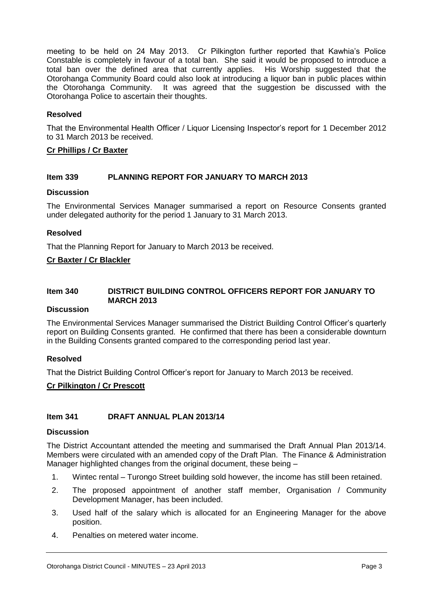meeting to be held on 24 May 2013. Cr Pilkington further reported that Kawhia's Police Constable is completely in favour of a total ban. She said it would be proposed to introduce a total ban over the defined area that currently applies. His Worship suggested that the total ban over the defined area that currently applies. Otorohanga Community Board could also look at introducing a liquor ban in public places within the Otorohanga Community. It was agreed that the suggestion be discussed with the Otorohanga Police to ascertain their thoughts.

#### **Resolved**

That the Environmental Health Officer / Liquor Licensing Inspector's report for 1 December 2012 to 31 March 2013 be received.

#### **Cr Phillips / Cr Baxter**

#### **Item 339 PLANNING REPORT FOR JANUARY TO MARCH 2013**

#### **Discussion**

The Environmental Services Manager summarised a report on Resource Consents granted under delegated authority for the period 1 January to 31 March 2013.

#### **Resolved**

That the Planning Report for January to March 2013 be received.

#### **Cr Baxter / Cr Blackler**

#### **Item 340 DISTRICT BUILDING CONTROL OFFICERS REPORT FOR JANUARY TO MARCH 2013**

#### **Discussion**

The Environmental Services Manager summarised the District Building Control Officer's quarterly report on Building Consents granted. He confirmed that there has been a considerable downturn in the Building Consents granted compared to the corresponding period last year.

#### **Resolved**

That the District Building Control Officer's report for January to March 2013 be received.

#### **Cr Pilkington / Cr Prescott**

#### **Item 341 DRAFT ANNUAL PLAN 2013/14**

#### **Discussion**

The District Accountant attended the meeting and summarised the Draft Annual Plan 2013/14. Members were circulated with an amended copy of the Draft Plan. The Finance & Administration Manager highlighted changes from the original document, these being –

- 1. Wintec rental Turongo Street building sold however, the income has still been retained.
- 2. The proposed appointment of another staff member, Organisation / Community Development Manager, has been included.
- 3. Used half of the salary which is allocated for an Engineering Manager for the above position.
- 4. Penalties on metered water income.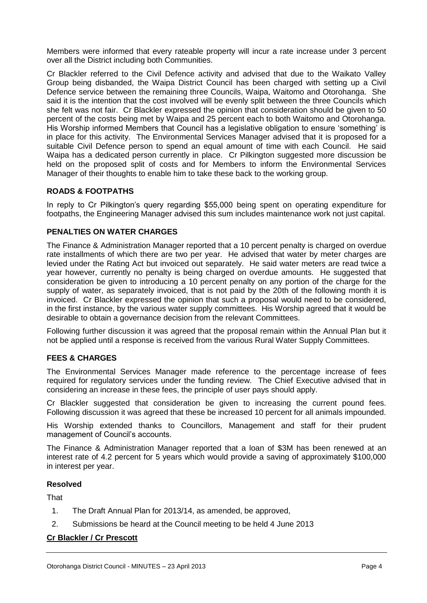Members were informed that every rateable property will incur a rate increase under 3 percent over all the District including both Communities.

Cr Blackler referred to the Civil Defence activity and advised that due to the Waikato Valley Group being disbanded, the Waipa District Council has been charged with setting up a Civil Defence service between the remaining three Councils, Waipa, Waitomo and Otorohanga. She said it is the intention that the cost involved will be evenly split between the three Councils which she felt was not fair. Cr Blackler expressed the opinion that consideration should be given to 50 percent of the costs being met by Waipa and 25 percent each to both Waitomo and Otorohanga. His Worship informed Members that Council has a legislative obligation to ensure 'something' is in place for this activity. The Environmental Services Manager advised that it is proposed for a suitable Civil Defence person to spend an equal amount of time with each Council. He said Waipa has a dedicated person currently in place. Cr Pilkington suggested more discussion be held on the proposed split of costs and for Members to inform the Environmental Services Manager of their thoughts to enable him to take these back to the working group.

#### **ROADS & FOOTPATHS**

In reply to Cr Pilkington's query regarding \$55,000 being spent on operating expenditure for footpaths, the Engineering Manager advised this sum includes maintenance work not just capital.

#### **PENALTIES ON WATER CHARGES**

The Finance & Administration Manager reported that a 10 percent penalty is charged on overdue rate installments of which there are two per year. He advised that water by meter charges are levied under the Rating Act but invoiced out separately. He said water meters are read twice a year however, currently no penalty is being charged on overdue amounts. He suggested that consideration be given to introducing a 10 percent penalty on any portion of the charge for the supply of water, as separately invoiced, that is not paid by the 20th of the following month it is invoiced. Cr Blackler expressed the opinion that such a proposal would need to be considered, in the first instance, by the various water supply committees. His Worship agreed that it would be desirable to obtain a governance decision from the relevant Committees.

Following further discussion it was agreed that the proposal remain within the Annual Plan but it not be applied until a response is received from the various Rural Water Supply Committees.

#### **FEES & CHARGES**

The Environmental Services Manager made reference to the percentage increase of fees required for regulatory services under the funding review. The Chief Executive advised that in considering an increase in these fees, the principle of user pays should apply.

Cr Blackler suggested that consideration be given to increasing the current pound fees. Following discussion it was agreed that these be increased 10 percent for all animals impounded.

His Worship extended thanks to Councillors, Management and staff for their prudent management of Council's accounts.

The Finance & Administration Manager reported that a loan of \$3M has been renewed at an interest rate of 4.2 percent for 5 years which would provide a saving of approximately \$100,000 in interest per year.

#### **Resolved**

**That** 

- 1. The Draft Annual Plan for 2013/14, as amended, be approved,
- 2. Submissions be heard at the Council meeting to be held 4 June 2013

#### **Cr Blackler / Cr Prescott**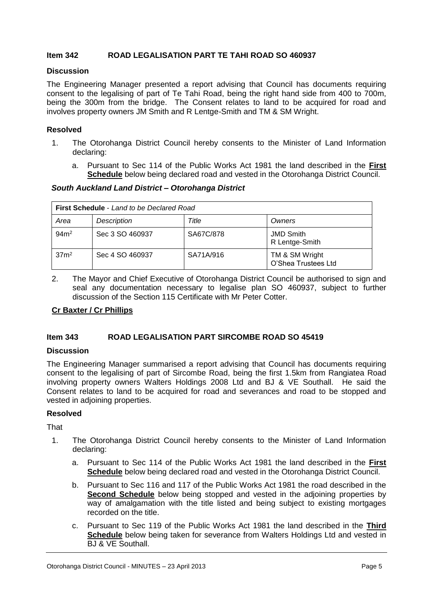#### **Item 342 ROAD LEGALISATION PART TE TAHI ROAD SO 460937**

#### **Discussion**

The Engineering Manager presented a report advising that Council has documents requiring consent to the legalising of part of Te Tahi Road, being the right hand side from 400 to 700m, being the 300m from the bridge. The Consent relates to land to be acquired for road and involves property owners JM Smith and R Lentge-Smith and TM & SM Wright.

#### **Resolved**

- 1. The Otorohanga District Council hereby consents to the Minister of Land Information declaring:
	- a. Pursuant to Sec 114 of the Public Works Act 1981 the land described in the **First Schedule** below being declared road and vested in the Otorohanga District Council.

#### *South Auckland Land District – Otorohanga District*

| <b>First Schedule - Land to be Declared Road</b> |                 |           |                                       |  |  |  |
|--------------------------------------------------|-----------------|-----------|---------------------------------------|--|--|--|
| Area                                             | Description     | Title     | Owners                                |  |  |  |
| 94m <sup>2</sup>                                 | Sec 3 SO 460937 | SA67C/878 | <b>JMD Smith</b><br>R Lentge-Smith    |  |  |  |
| 37 <sup>2</sup>                                  | Sec 4 SO 460937 | SA71A/916 | TM & SM Wright<br>O'Shea Trustees Ltd |  |  |  |

2. The Mayor and Chief Executive of Otorohanga District Council be authorised to sign and seal any documentation necessary to legalise plan SO 460937, subject to further discussion of the Section 115 Certificate with Mr Peter Cotter.

#### **Cr Baxter / Cr Phillips**

#### **Item 343 ROAD LEGALISATION PART SIRCOMBE ROAD SO 45419**

#### **Discussion**

The Engineering Manager summarised a report advising that Council has documents requiring consent to the legalising of part of Sircombe Road, being the first 1.5km from Rangiatea Road involving property owners Walters Holdings 2008 Ltd and BJ & VE Southall. He said the Consent relates to land to be acquired for road and severances and road to be stopped and vested in adjoining properties.

#### **Resolved**

That

- 1. The Otorohanga District Council hereby consents to the Minister of Land Information declaring:
	- a. Pursuant to Sec 114 of the Public Works Act 1981 the land described in the **First Schedule** below being declared road and vested in the Otorohanga District Council.
	- b. Pursuant to Sec 116 and 117 of the Public Works Act 1981 the road described in the **Second Schedule** below being stopped and vested in the adjoining properties by way of amalgamation with the title listed and being subject to existing mortgages recorded on the title.
	- c. Pursuant to Sec 119 of the Public Works Act 1981 the land described in the **Third Schedule** below being taken for severance from Walters Holdings Ltd and vested in BJ & VE Southall.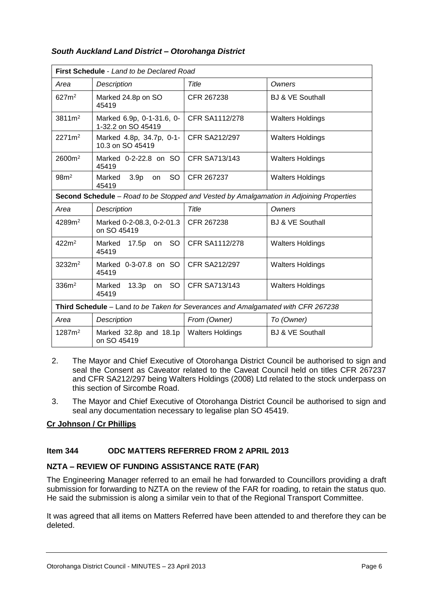| <b>First Schedule</b> - Land to be Declared Road                                        |                                                  |                         |                             |  |  |
|-----------------------------------------------------------------------------------------|--------------------------------------------------|-------------------------|-----------------------------|--|--|
| Area                                                                                    | Description                                      | Title                   | Owners                      |  |  |
| 627m <sup>2</sup>                                                                       | Marked 24.8p on SO<br>45419                      | CFR 267238              | <b>BJ &amp; VE Southall</b> |  |  |
| $3811 \text{ m}^2$                                                                      | Marked 6.9p, 0-1-31.6, 0-<br>1-32.2 on SO 45419  | <b>CFR SA1112/278</b>   | <b>Walters Holdings</b>     |  |  |
| $2271m^2$                                                                               | Marked 4.8p, 34.7p, 0-1-<br>10.3 on SO 45419     | <b>CFR SA212/297</b>    | <b>Walters Holdings</b>     |  |  |
| 2600m <sup>2</sup>                                                                      | Marked 0-2-22.8 on SO<br>45419                   | CFR SA713/143           | <b>Walters Holdings</b>     |  |  |
| 98m <sup>2</sup>                                                                        | SO.<br>3.9 <sub>p</sub><br>Marked<br>on<br>45419 | CFR 267237              | <b>Walters Holdings</b>     |  |  |
| Second Schedule - Road to be Stopped and Vested by Amalgamation in Adjoining Properties |                                                  |                         |                             |  |  |
| Area                                                                                    | Description                                      | Title                   | Owners                      |  |  |
| 4289m <sup>2</sup>                                                                      | Marked 0-2-08.3, 0-2-01.3<br>on SO 45419         | CFR 267238              | <b>BJ &amp; VE Southall</b> |  |  |
| 422m <sup>2</sup>                                                                       | Marked<br>17.5p on<br>SO.<br>45419               | <b>CFR SA1112/278</b>   | <b>Walters Holdings</b>     |  |  |
| 3232m <sup>2</sup>                                                                      | Marked 0-3-07.8 on SO<br>45419                   | <b>CFR SA212/297</b>    | <b>Walters Holdings</b>     |  |  |
| 336m <sup>2</sup>                                                                       | $13.3p$ on<br>SO  <br>Marked<br>45419            | <b>CFR SA713/143</b>    | <b>Walters Holdings</b>     |  |  |
| Third Schedule - Land to be Taken for Severances and Amalgamated with CFR 267238        |                                                  |                         |                             |  |  |
| Area                                                                                    | <b>Description</b>                               | From (Owner)            | To (Owner)                  |  |  |
| 1287m <sup>2</sup>                                                                      | Marked 32.8p and 18.1p<br>on SO 45419            | <b>Walters Holdings</b> | <b>BJ &amp; VE Southall</b> |  |  |

#### *South Auckland Land District – Otorohanga District*

- 2. The Mayor and Chief Executive of Otorohanga District Council be authorised to sign and seal the Consent as Caveator related to the Caveat Council held on titles CFR 267237 and CFR SA212/297 being Walters Holdings (2008) Ltd related to the stock underpass on this section of Sircombe Road.
- 3. The Mayor and Chief Executive of Otorohanga District Council be authorised to sign and seal any documentation necessary to legalise plan SO 45419.

#### **Cr Johnson / Cr Phillips**

#### **Item 344 ODC MATTERS REFERRED FROM 2 APRIL 2013**

#### **NZTA – REVIEW OF FUNDING ASSISTANCE RATE (FAR)**

The Engineering Manager referred to an email he had forwarded to Councillors providing a draft submission for forwarding to NZTA on the review of the FAR for roading, to retain the status quo. He said the submission is along a similar vein to that of the Regional Transport Committee.

It was agreed that all items on Matters Referred have been attended to and therefore they can be deleted.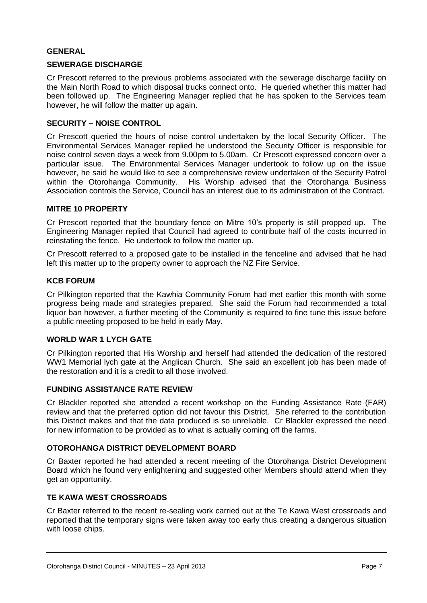#### **GENERAL**

#### **SEWERAGE DISCHARGE**

Cr Prescott referred to the previous problems associated with the sewerage discharge facility on the Main North Road to which disposal trucks connect onto. He queried whether this matter had been followed up. The Engineering Manager replied that he has spoken to the Services team however, he will follow the matter up again.

#### **SECURITY – NOISE CONTROL**

Cr Prescott queried the hours of noise control undertaken by the local Security Officer. The Environmental Services Manager replied he understood the Security Officer is responsible for noise control seven days a week from 9.00pm to 5.00am. Cr Prescott expressed concern over a particular issue. The Environmental Services Manager undertook to follow up on the issue however, he said he would like to see a comprehensive review undertaken of the Security Patrol within the Otorohanga Community. His Worship advised that the Otorohanga Business Association controls the Service, Council has an interest due to its administration of the Contract.

#### **MITRE 10 PROPERTY**

Cr Prescott reported that the boundary fence on Mitre 10's property is still propped up. The Engineering Manager replied that Council had agreed to contribute half of the costs incurred in reinstating the fence. He undertook to follow the matter up.

Cr Prescott referred to a proposed gate to be installed in the fenceline and advised that he had left this matter up to the property owner to approach the NZ Fire Service.

#### **KCB FORUM**

Cr Pilkington reported that the Kawhia Community Forum had met earlier this month with some progress being made and strategies prepared. She said the Forum had recommended a total liquor ban however, a further meeting of the Community is required to fine tune this issue before a public meeting proposed to be held in early May.

#### **WORLD WAR 1 LYCH GATE**

Cr Pilkington reported that His Worship and herself had attended the dedication of the restored WW1 Memorial lych gate at the Anglican Church. She said an excellent job has been made of the restoration and it is a credit to all those involved.

#### **FUNDING ASSISTANCE RATE REVIEW**

Cr Blackler reported she attended a recent workshop on the Funding Assistance Rate (FAR) review and that the preferred option did not favour this District. She referred to the contribution this District makes and that the data produced is so unreliable. Cr Blackler expressed the need for new information to be provided as to what is actually coming off the farms.

#### **OTOROHANGA DISTRICT DEVELOPMENT BOARD**

Cr Baxter reported he had attended a recent meeting of the Otorohanga District Development Board which he found very enlightening and suggested other Members should attend when they get an opportunity.

#### **TE KAWA WEST CROSSROADS**

Cr Baxter referred to the recent re-sealing work carried out at the Te Kawa West crossroads and reported that the temporary signs were taken away too early thus creating a dangerous situation with loose chips.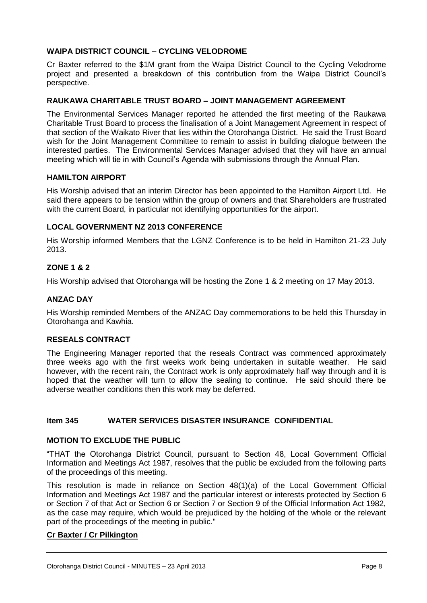#### **WAIPA DISTRICT COUNCIL – CYCLING VELODROME**

Cr Baxter referred to the \$1M grant from the Waipa District Council to the Cycling Velodrome project and presented a breakdown of this contribution from the Waipa District Council's perspective.

#### **RAUKAWA CHARITABLE TRUST BOARD – JOINT MANAGEMENT AGREEMENT**

The Environmental Services Manager reported he attended the first meeting of the Raukawa Charitable Trust Board to process the finalisation of a Joint Management Agreement in respect of that section of the Waikato River that lies within the Otorohanga District. He said the Trust Board wish for the Joint Management Committee to remain to assist in building dialogue between the interested parties. The Environmental Services Manager advised that they will have an annual meeting which will tie in with Council's Agenda with submissions through the Annual Plan.

#### **HAMILTON AIRPORT**

His Worship advised that an interim Director has been appointed to the Hamilton Airport Ltd. He said there appears to be tension within the group of owners and that Shareholders are frustrated with the current Board, in particular not identifying opportunities for the airport.

#### **LOCAL GOVERNMENT NZ 2013 CONFERENCE**

His Worship informed Members that the LGNZ Conference is to be held in Hamilton 21-23 July 2013.

#### **ZONE 1 & 2**

His Worship advised that Otorohanga will be hosting the Zone 1 & 2 meeting on 17 May 2013.

#### **ANZAC DAY**

His Worship reminded Members of the ANZAC Day commemorations to be held this Thursday in Otorohanga and Kawhia.

#### **RESEALS CONTRACT**

The Engineering Manager reported that the reseals Contract was commenced approximately three weeks ago with the first weeks work being undertaken in suitable weather. He said however, with the recent rain, the Contract work is only approximately half way through and it is hoped that the weather will turn to allow the sealing to continue. He said should there be adverse weather conditions then this work may be deferred.

#### **Item 345 WATER SERVICES DISASTER INSURANCE CONFIDENTIAL**

#### **MOTION TO EXCLUDE THE PUBLIC**

"THAT the Otorohanga District Council, pursuant to Section 48, Local Government Official Information and Meetings Act 1987, resolves that the public be excluded from the following parts of the proceedings of this meeting.

This resolution is made in reliance on Section 48(1)(a) of the Local Government Official Information and Meetings Act 1987 and the particular interest or interests protected by Section 6 or Section 7 of that Act or Section 6 or Section 7 or Section 9 of the Official Information Act 1982, as the case may require, which would be prejudiced by the holding of the whole or the relevant part of the proceedings of the meeting in public."

#### **Cr Baxter / Cr Pilkington**